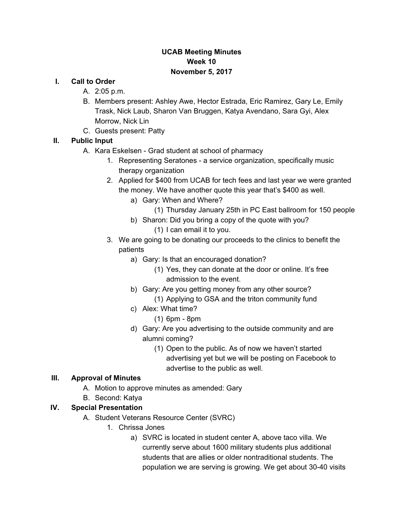## **UCAB Meeting Minutes Week 10 November 5, 2017**

#### **I. Call to Order**

- A. 2:05 p.m.
- B. Members present: Ashley Awe, Hector Estrada, Eric Ramirez, Gary Le, Emily Trask, Nick Laub, Sharon Van Bruggen, Katya Avendano, Sara Gyi, Alex Morrow, Nick Lin
- C. Guests present: Patty

## **II. Public Input**

- A. Kara Eskelsen Grad student at school of pharmacy
	- 1. Representing Seratones a service organization, specifically music therapy organization
	- 2. Applied for \$400 from UCAB for tech fees and last year we were granted the money. We have another quote this year that's \$400 as well.
		- a) Gary: When and Where?
			- (1) Thursday January 25th in PC East ballroom for 150 people
		- b) Sharon: Did you bring a copy of the quote with you? (1) I can email it to you.
	- 3. We are going to be donating our proceeds to the clinics to benefit the patients
		- a) Gary: Is that an encouraged donation?
			- (1) Yes, they can donate at the door or online. It's free admission to the event.
		- b) Gary: Are you getting money from any other source? (1) Applying to GSA and the triton community fund
		- c) Alex: What time?
			- (1) 6pm 8pm
		- d) Gary: Are you advertising to the outside community and are alumni coming?
			- (1) Open to the public. As of now we haven't started advertising yet but we will be posting on Facebook to advertise to the public as well.

### **III. Approval of Minutes**

- A. Motion to approve minutes as amended: Gary
- B. Second: Katya
- **IV. Special Presentation**
	- A. Student Veterans Resource Center (SVRC)
		- 1. Chrissa Jones
			- a) SVRC is located in student center A, above taco villa. We currently serve about 1600 military students plus additional students that are allies or older nontraditional students. The population we are serving is growing. We get about 30-40 visits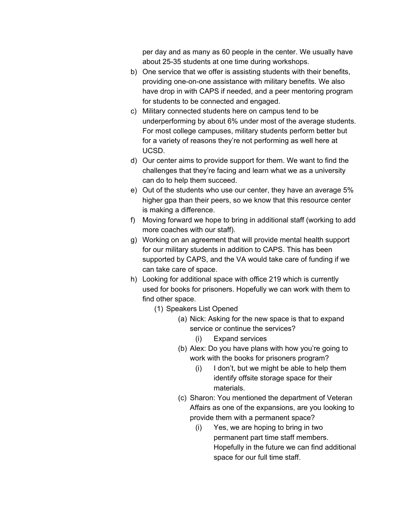per day and as many as 60 people in the center. We usually have about 25-35 students at one time during workshops.

- b) One service that we offer is assisting students with their benefits, providing one-on-one assistance with military benefits. We also have drop in with CAPS if needed, and a peer mentoring program for students to be connected and engaged.
- c) Military connected students here on campus tend to be underperforming by about 6% under most of the average students. For most college campuses, military students perform better but for a variety of reasons they're not performing as well here at UCSD.
- d) Our center aims to provide support for them. We want to find the challenges that they're facing and learn what we as a university can do to help them succeed.
- e) Out of the students who use our center, they have an average 5% higher gpa than their peers, so we know that this resource center is making a difference.
- f) Moving forward we hope to bring in additional staff (working to add more coaches with our staff).
- g) Working on an agreement that will provide mental health support for our military students in addition to CAPS. This has been supported by CAPS, and the VA would take care of funding if we can take care of space.
- h) Looking for additional space with office 219 which is currently used for books for prisoners. Hopefully we can work with them to find other space.
	- (1) Speakers List Opened
		- (a) Nick: Asking for the new space is that to expand service or continue the services?
			- (i) Expand services
		- (b) Alex: Do you have plans with how you're going to work with the books for prisoners program?
			- (i) I don't, but we might be able to help them identify offsite storage space for their materials.
		- (c) Sharon: You mentioned the department of Veteran Affairs as one of the expansions, are you looking to provide them with a permanent space?
			- (i) Yes, we are hoping to bring in two permanent part time staff members. Hopefully in the future we can find additional space for our full time staff.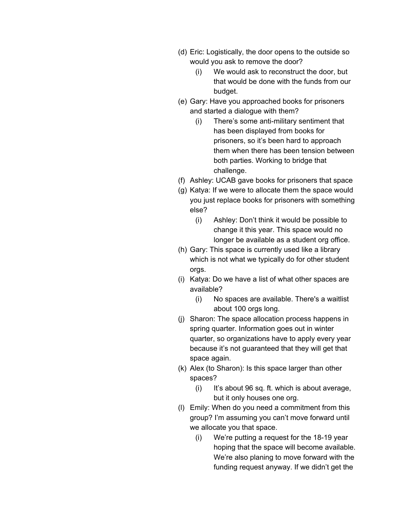- (d) Eric: Logistically, the door opens to the outside so would you ask to remove the door?
	- (i) We would ask to reconstruct the door, but that would be done with the funds from our budget.
- (e) Gary: Have you approached books for prisoners and started a dialogue with them?
	- (i) There's some anti-military sentiment that has been displayed from books for prisoners, so it's been hard to approach them when there has been tension between both parties. Working to bridge that challenge.
- (f) Ashley: UCAB gave books for prisoners that space
- (g) Katya: If we were to allocate them the space would you just replace books for prisoners with something else?
	- (i) Ashley: Don't think it would be possible to change it this year. This space would no longer be available as a student org office.
- (h) Gary: This space is currently used like a library which is not what we typically do for other student orgs.
- (i) Katya: Do we have a list of what other spaces are available?
	- (i) No spaces are available. There's a waitlist about 100 orgs long.
- (j) Sharon: The space allocation process happens in spring quarter. Information goes out in winter quarter, so organizations have to apply every year because it's not guaranteed that they will get that space again.
- (k) Alex (to Sharon): Is this space larger than other spaces?
	- (i) It's about 96 sq. ft. which is about average, but it only houses one org.
- (l) Emily: When do you need a commitment from this group? I'm assuming you can't move forward until we allocate you that space.
	- (i) We're putting a request for the 18-19 year hoping that the space will become available. We're also planing to move forward with the funding request anyway. If we didn't get the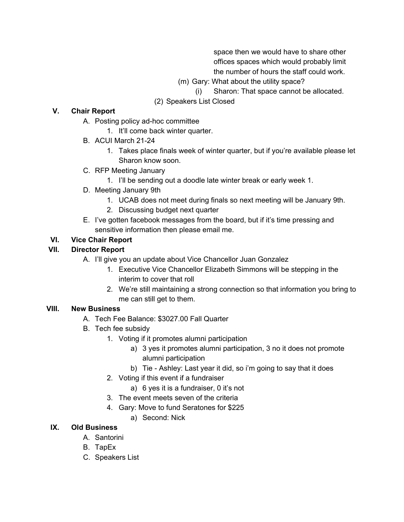space then we would have to share other offices spaces which would probably limit the number of hours the staff could work.

- (m) Gary: What about the utility space?
	- (i) Sharon: That space cannot be allocated.
- (2) Speakers List Closed

### **V. Chair Report**

- A. Posting policy ad-hoc committee
	- 1. It'll come back winter quarter.
- B. ACUI March 21-24
	- 1. Takes place finals week of winter quarter, but if you're available please let Sharon know soon.
- C. RFP Meeting January
	- 1. I'll be sending out a doodle late winter break or early week 1.
- D. Meeting January 9th
	- 1. UCAB does not meet during finals so next meeting will be January 9th.
	- 2. Discussing budget next quarter
- E. I've gotten facebook messages from the board, but if it's time pressing and sensitive information then please email me.

# **VI. Vice Chair Report**

# **VII. Director Report**

- A. I'll give you an update about Vice Chancellor Juan Gonzalez
	- 1. Executive Vice Chancellor Elizabeth Simmons will be stepping in the interim to cover that roll
	- 2. We're still maintaining a strong connection so that information you bring to me can still get to them.

### **VIII. New Business**

- A. Tech Fee Balance: \$3027.00 Fall Quarter
- B. Tech fee subsidy
	- 1. Voting if it promotes alumni participation
		- a) 3 yes it promotes alumni participation, 3 no it does not promote alumni participation
		- b) Tie Ashley: Last year it did, so i'm going to say that it does
	- 2. Voting if this event if a fundraiser
		- a) 6 yes it is a fundraiser, 0 it's not
	- 3. The event meets seven of the criteria
	- 4. Gary: Move to fund Seratones for \$225
		- a) Second: Nick

### **IX. Old Business**

- A. Santorini
- B. TapEx
- C. Speakers List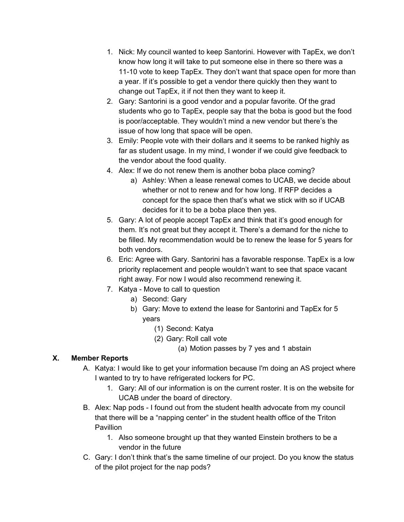- 1. Nick: My council wanted to keep Santorini. However with TapEx, we don't know how long it will take to put someone else in there so there was a 11-10 vote to keep TapEx. They don't want that space open for more than a year. If it's possible to get a vendor there quickly then they want to change out TapEx, it if not then they want to keep it.
- 2. Gary: Santorini is a good vendor and a popular favorite. Of the grad students who go to TapEx, people say that the boba is good but the food is poor/acceptable. They wouldn't mind a new vendor but there's the issue of how long that space will be open.
- 3. Emily: People vote with their dollars and it seems to be ranked highly as far as student usage. In my mind, I wonder if we could give feedback to the vendor about the food quality.
- 4. Alex: If we do not renew them is another boba place coming?
	- a) Ashley: When a lease renewal comes to UCAB, we decide about whether or not to renew and for how long. If RFP decides a concept for the space then that's what we stick with so if UCAB decides for it to be a boba place then yes.
- 5. Gary: A lot of people accept TapEx and think that it's good enough for them. It's not great but they accept it. There's a demand for the niche to be filled. My recommendation would be to renew the lease for 5 years for both vendors.
- 6. Eric: Agree with Gary. Santorini has a favorable response. TapEx is a low priority replacement and people wouldn't want to see that space vacant right away. For now I would also recommend renewing it.
- 7. Katya Move to call to question
	- a) Second: Gary
	- b) Gary: Move to extend the lease for Santorini and TapEx for 5 years
		- (1) Second: Katya
		- (2) Gary: Roll call vote
			- (a) Motion passes by 7 yes and 1 abstain

### **X. Member Reports**

- A. Katya: I would like to get your information because I'm doing an AS project where I wanted to try to have refrigerated lockers for PC.
	- 1. Gary: All of our information is on the current roster. It is on the website for UCAB under the board of directory.
- B. Alex: Nap pods I found out from the student health advocate from my council that there will be a "napping center" in the student health office of the Triton Pavillion
	- 1. Also someone brought up that they wanted Einstein brothers to be a vendor in the future
- C. Gary: I don't think that's the same timeline of our project. Do you know the status of the pilot project for the nap pods?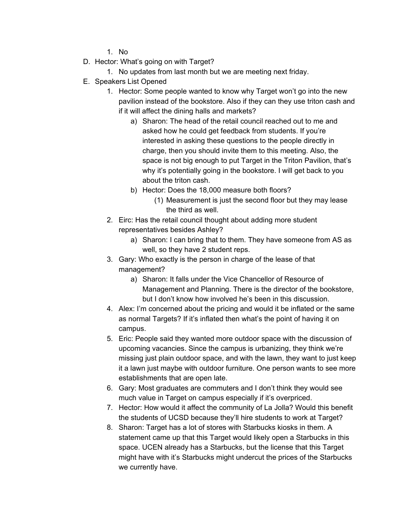1. No

- D. Hector: What's going on with Target?
	- 1. No updates from last month but we are meeting next friday.
- E. Speakers List Opened
	- 1. Hector: Some people wanted to know why Target won't go into the new pavilion instead of the bookstore. Also if they can they use triton cash and if it will affect the dining halls and markets?
		- a) Sharon: The head of the retail council reached out to me and asked how he could get feedback from students. If you're interested in asking these questions to the people directly in charge, then you should invite them to this meeting. Also, the space is not big enough to put Target in the Triton Pavilion, that's why it's potentially going in the bookstore. I will get back to you about the triton cash.
		- b) Hector: Does the 18,000 measure both floors?
			- (1) Measurement is just the second floor but they may lease the third as well.
	- 2. Eirc: Has the retail council thought about adding more student representatives besides Ashley?
		- a) Sharon: I can bring that to them. They have someone from AS as well, so they have 2 student reps.
	- 3. Gary: Who exactly is the person in charge of the lease of that management?
		- a) Sharon: It falls under the Vice Chancellor of Resource of Management and Planning. There is the director of the bookstore, but I don't know how involved he's been in this discussion.
	- 4. Alex: I'm concerned about the pricing and would it be inflated or the same as normal Targets? If it's inflated then what's the point of having it on campus.
	- 5. Eric: People said they wanted more outdoor space with the discussion of upcoming vacancies. Since the campus is urbanizing, they think we're missing just plain outdoor space, and with the lawn, they want to just keep it a lawn just maybe with outdoor furniture. One person wants to see more establishments that are open late.
	- 6. Gary: Most graduates are commuters and I don't think they would see much value in Target on campus especially if it's overpriced.
	- 7. Hector: How would it affect the community of La Jolla? Would this benefit the students of UCSD because they'll hire students to work at Target?
	- 8. Sharon: Target has a lot of stores with Starbucks kiosks in them. A statement came up that this Target would likely open a Starbucks in this space. UCEN already has a Starbucks, but the license that this Target might have with it's Starbucks might undercut the prices of the Starbucks we currently have.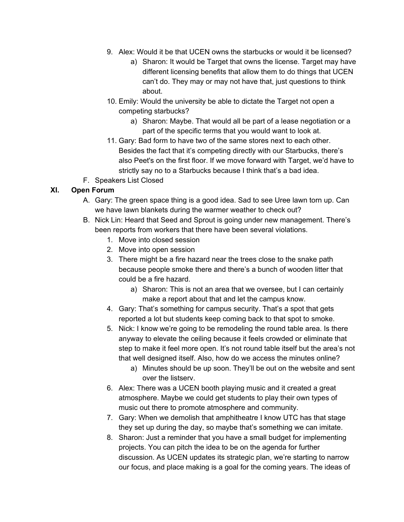- 9. Alex: Would it be that UCEN owns the starbucks or would it be licensed?
	- a) Sharon: It would be Target that owns the license. Target may have different licensing benefits that allow them to do things that UCEN can't do. They may or may not have that, just questions to think about.
- 10. Emily: Would the university be able to dictate the Target not open a competing starbucks?
	- a) Sharon: Maybe. That would all be part of a lease negotiation or a part of the specific terms that you would want to look at.
- 11. Gary: Bad form to have two of the same stores next to each other. Besides the fact that it's competing directly with our Starbucks, there's also Peet's on the first floor. If we move forward with Target, we'd have to strictly say no to a Starbucks because I think that's a bad idea.
- F. Speakers List Closed

## **XI. Open Forum**

- A. Gary: The green space thing is a good idea. Sad to see Uree lawn torn up. Can we have lawn blankets during the warmer weather to check out?
- B. Nick Lin: Heard that Seed and Sprout is going under new management. There's been reports from workers that there have been several violations.
	- 1. Move into closed session
	- 2. Move into open session
	- 3. There might be a fire hazard near the trees close to the snake path because people smoke there and there's a bunch of wooden litter that could be a fire hazard.
		- a) Sharon: This is not an area that we oversee, but I can certainly make a report about that and let the campus know.
	- 4. Gary: That's something for campus security. That's a spot that gets reported a lot but students keep coming back to that spot to smoke.
	- 5. Nick: I know we're going to be remodeling the round table area. Is there anyway to elevate the ceiling because it feels crowded or eliminate that step to make it feel more open. It's not round table itself but the area's not that well designed itself. Also, how do we access the minutes online?
		- a) Minutes should be up soon. They'll be out on the website and sent over the listserv.
	- 6. Alex: There was a UCEN booth playing music and it created a great atmosphere. Maybe we could get students to play their own types of music out there to promote atmosphere and community.
	- 7. Gary: When we demolish that amphitheatre I know UTC has that stage they set up during the day, so maybe that's something we can imitate.
	- 8. Sharon: Just a reminder that you have a small budget for implementing projects. You can pitch the idea to be on the agenda for further discussion. As UCEN updates its strategic plan, we're starting to narrow our focus, and place making is a goal for the coming years. The ideas of